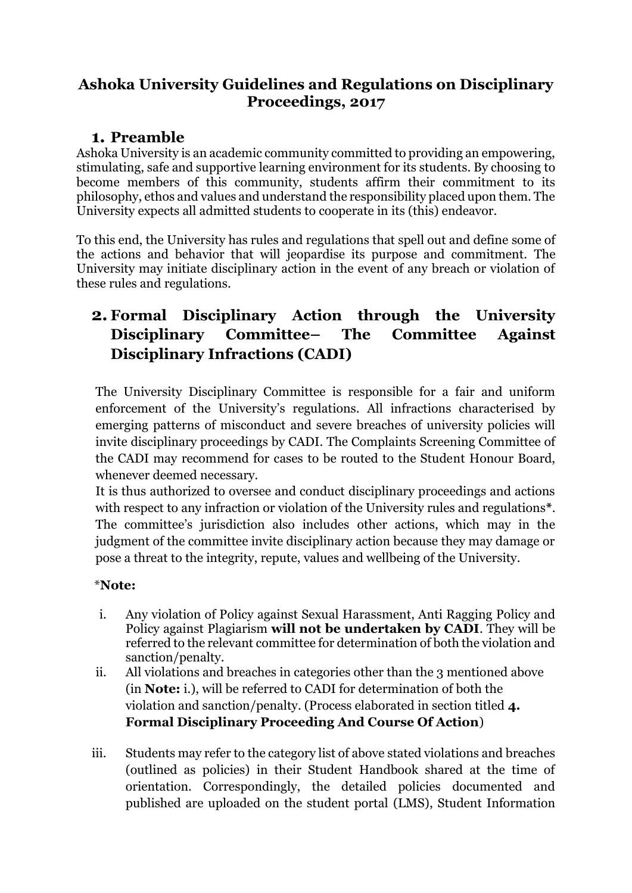## **Ashoka University Guidelines and Regulations on Disciplinary Proceedings, 2017**

## **1. Preamble**

Ashoka University is an academic community committed to providing an empowering, stimulating, safe and supportive learning environment for its students. By choosing to become members of this community, students affirm their commitment to its philosophy, ethos and values and understand the responsibility placed upon them. The University expects all admitted students to cooperate in its (this) endeavor.

To this end, the University has rules and regulations that spell out and define some of the actions and behavior that will jeopardise its purpose and commitment. The University may initiate disciplinary action in the event of any breach or violation of these rules and regulations.

# **2. Formal Disciplinary Action through the University Disciplinary Committee– The Committee Against Disciplinary Infractions (CADI)**

The University Disciplinary Committee is responsible for a fair and uniform enforcement of the University's regulations. All infractions characterised by emerging patterns of misconduct and severe breaches of university policies will invite disciplinary proceedings by CADI. The Complaints Screening Committee of the CADI may recommend for cases to be routed to the Student Honour Board, whenever deemed necessary.

It is thus authorized to oversee and conduct disciplinary proceedings and actions with respect to any infraction or violation of the University rules and regulations**\***. The committee's jurisdiction also includes other actions, which may in the judgment of the committee invite disciplinary action because they may damage or pose a threat to the integrity, repute, values and wellbeing of the University.

#### \***Note:**

- i. Any violation of Policy against Sexual Harassment, Anti Ragging Policy and Policy against Plagiarism **will not be undertaken by CADI**. They will be referred to the relevant committee for determination of both the violation and sanction/penalty.
- ii. All violations and breaches in categories other than the 3 mentioned above (in **Note:** i.), will be referred to CADI for determination of both the violation and sanction/penalty. (Process elaborated in section titled **4. Formal Disciplinary Proceeding And Course Of Action**)
- iii. Students may refer to the category list of above stated violations and breaches (outlined as policies) in their Student Handbook shared at the time of orientation. Correspondingly, the detailed policies documented and published are uploaded on the student portal (LMS), Student Information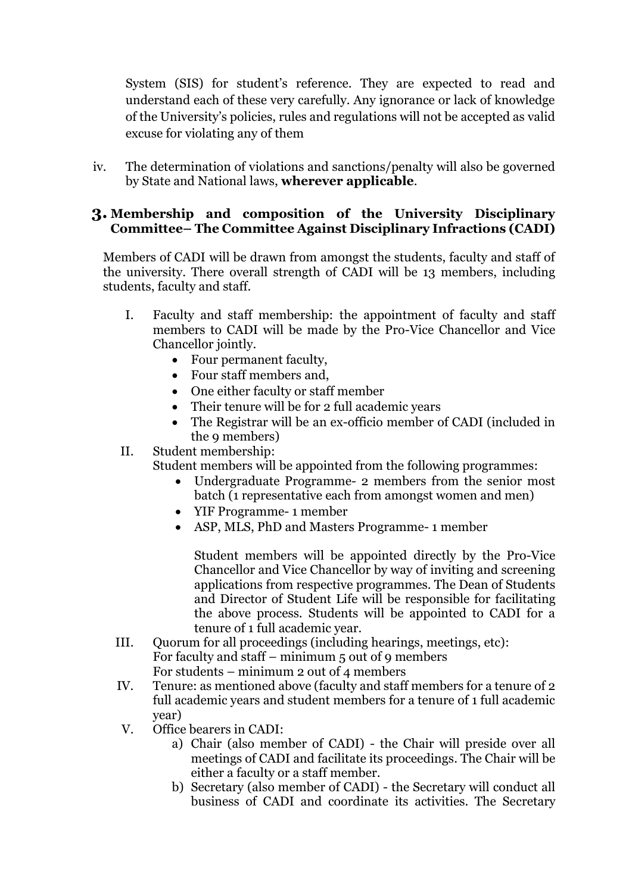System (SIS) for student's reference. They are expected to read and understand each of these very carefully. Any ignorance or lack of knowledge of the University's policies, rules and regulations will not be accepted as valid excuse for violating any of them

iv. The determination of violations and sanctions/penalty will also be governed by State and National laws, **wherever applicable**.

#### **3. Membership and composition of the University Disciplinary Committee– The Committee Against Disciplinary Infractions (CADI)**

Members of CADI will be drawn from amongst the students, faculty and staff of the university. There overall strength of CADI will be 13 members, including students, faculty and staff.

- I. Faculty and staff membership: the appointment of faculty and staff members to CADI will be made by the Pro-Vice Chancellor and Vice Chancellor jointly.
	- Four permanent faculty,
	- Four staff members and,
	- One either faculty or staff member
	- Their tenure will be for 2 full academic years
	- The Registrar will be an ex-officio member of CADI (included in the 9 members)
- II. Student membership:

Student members will be appointed from the following programmes:

- Undergraduate Programme- 2 members from the senior most batch (1 representative each from amongst women and men)
- YIF Programme- 1 member
- ASP, MLS, PhD and Masters Programme- 1 member

Student members will be appointed directly by the Pro-Vice Chancellor and Vice Chancellor by way of inviting and screening applications from respective programmes. The Dean of Students and Director of Student Life will be responsible for facilitating the above process. Students will be appointed to CADI for a tenure of 1 full academic year.

- III. Quorum for all proceedings (including hearings, meetings, etc): For faculty and staff – minimum 5 out of 9 members For students – minimum 2 out of 4 members
- IV. Tenure: as mentioned above (faculty and staff members for a tenure of 2 full academic years and student members for a tenure of 1 full academic year)
- V. Office bearers in CADI:
	- a) Chair (also member of CADI) the Chair will preside over all meetings of CADI and facilitate its proceedings. The Chair will be either a faculty or a staff member.
	- b) Secretary (also member of CADI) the Secretary will conduct all business of CADI and coordinate its activities. The Secretary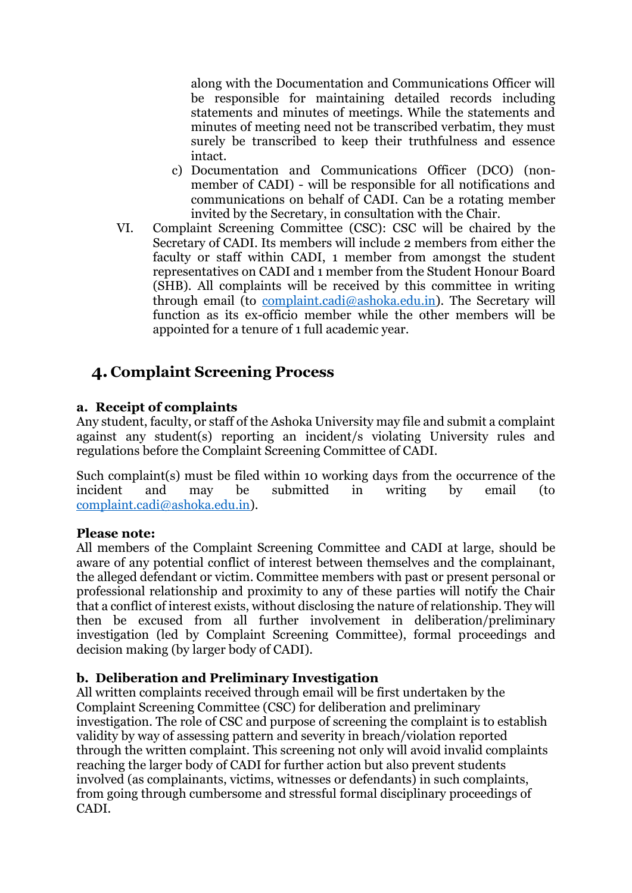along with the Documentation and Communications Officer will be responsible for maintaining detailed records including statements and minutes of meetings. While the statements and minutes of meeting need not be transcribed verbatim, they must surely be transcribed to keep their truthfulness and essence intact.

- c) Documentation and Communications Officer (DCO) (nonmember of CADI) - will be responsible for all notifications and communications on behalf of CADI. Can be a rotating member invited by the Secretary, in consultation with the Chair.
- VI. Complaint Screening Committee (CSC): CSC will be chaired by the Secretary of CADI. Its members will include 2 members from either the faculty or staff within CADI, 1 member from amongst the student representatives on CADI and 1 member from the Student Honour Board (SHB). All complaints will be received by this committee in writing through email (to [complaint.cadi@ashoka.edu.in\)](mailto:complaint.cadi@ashoka.edu.in). The Secretary will function as its ex-officio member while the other members will be appointed for a tenure of 1 full academic year.

# **4. Complaint Screening Process**

#### **a. Receipt of complaints**

Any student, faculty, or staff of the Ashoka University may file and submit a complaint against any student(s) reporting an incident/s violating University rules and regulations before the Complaint Screening Committee of CADI.

Such complaint(s) must be filed within 10 working days from the occurrence of the incident and may be submitted in writing by email (to [complaint.cadi@ashoka.edu.in\)](mailto:complaint.cadi@ashoka.edu.in).

#### **Please note:**

All members of the Complaint Screening Committee and CADI at large, should be aware of any potential conflict of interest between themselves and the complainant, the alleged defendant or victim. Committee members with past or present personal or professional relationship and proximity to any of these parties will notify the Chair that a conflict of interest exists, without disclosing the nature of relationship. They will then be excused from all further involvement in deliberation/preliminary investigation (led by Complaint Screening Committee), formal proceedings and decision making (by larger body of CADI).

#### **b. Deliberation and Preliminary Investigation**

All written complaints received through email will be first undertaken by the Complaint Screening Committee (CSC) for deliberation and preliminary investigation. The role of CSC and purpose of screening the complaint is to establish validity by way of assessing pattern and severity in breach/violation reported through the written complaint. This screening not only will avoid invalid complaints reaching the larger body of CADI for further action but also prevent students involved (as complainants, victims, witnesses or defendants) in such complaints, from going through cumbersome and stressful formal disciplinary proceedings of CADI.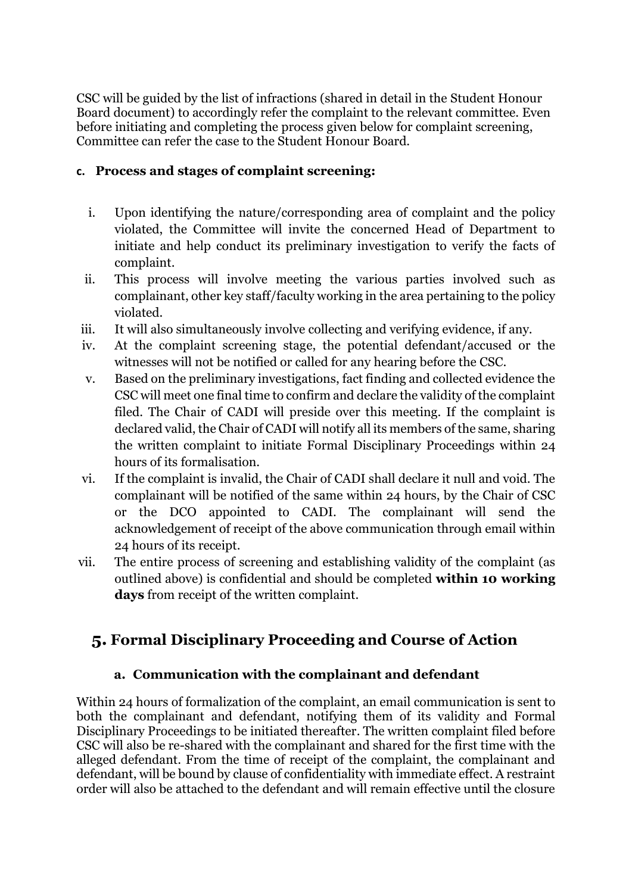CSC will be guided by the list of infractions (shared in detail in the Student Honour Board document) to accordingly refer the complaint to the relevant committee. Even before initiating and completing the process given below for complaint screening, Committee can refer the case to the Student Honour Board.

#### **c. Process and stages of complaint screening:**

- i. Upon identifying the nature/corresponding area of complaint and the policy violated, the Committee will invite the concerned Head of Department to initiate and help conduct its preliminary investigation to verify the facts of complaint.
- ii. This process will involve meeting the various parties involved such as complainant, other key staff/faculty working in the area pertaining to the policy violated.
- iii. It will also simultaneously involve collecting and verifying evidence, if any.
- iv. At the complaint screening stage, the potential defendant/accused or the witnesses will not be notified or called for any hearing before the CSC.
- v. Based on the preliminary investigations, fact finding and collected evidence the CSC will meet one final time to confirm and declare the validity of the complaint filed. The Chair of CADI will preside over this meeting. If the complaint is declared valid, the Chair of CADI will notify all its members of the same, sharing the written complaint to initiate Formal Disciplinary Proceedings within 24 hours of its formalisation.
- vi. If the complaint is invalid, the Chair of CADI shall declare it null and void. The complainant will be notified of the same within 24 hours, by the Chair of CSC or the DCO appointed to CADI. The complainant will send the acknowledgement of receipt of the above communication through email within 24 hours of its receipt.
- vii. The entire process of screening and establishing validity of the complaint (as outlined above) is confidential and should be completed **within 10 working days** from receipt of the written complaint.

# **5. Formal Disciplinary Proceeding and Course of Action**

### **a. Communication with the complainant and defendant**

Within 24 hours of formalization of the complaint, an email communication is sent to both the complainant and defendant, notifying them of its validity and Formal Disciplinary Proceedings to be initiated thereafter. The written complaint filed before CSC will also be re-shared with the complainant and shared for the first time with the alleged defendant. From the time of receipt of the complaint, the complainant and defendant, will be bound by clause of confidentiality with immediate effect. A restraint order will also be attached to the defendant and will remain effective until the closure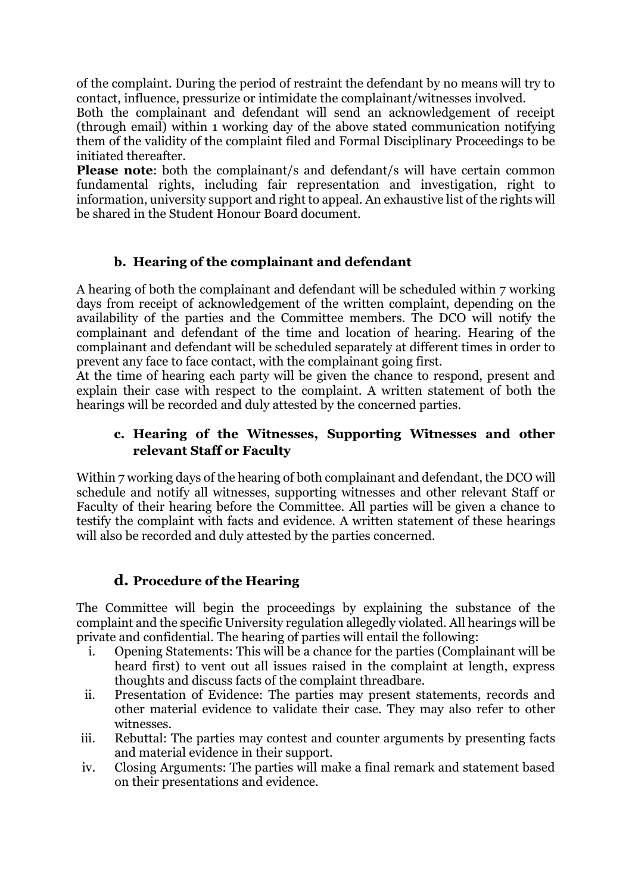of the complaint. During the period of restraint the defendant by no means will try to contact, influence, pressurize or intimidate the complainant/witnesses involved.

Both the complainant and defendant will send an acknowledgement of receipt (through email) within 1 working day of the above stated communication notifying them of the validity of the complaint filed and Formal Disciplinary Proceedings to be initiated thereafter.

**Please note:** both the complainant/s and defendant/s will have certain common fundamental rights, including fair representation and investigation, right to information, university support and right to appeal. An exhaustive list of the rights will be shared in the Student Honour Board document.

#### **b. Hearing of the complainant and defendant**

A hearing of both the complainant and defendant will be scheduled within 7 working days from receipt of acknowledgement of the written complaint, depending on the availability of the parties and the Committee members. The DCO will notify the complainant and defendant of the time and location of hearing. Hearing of the complainant and defendant will be scheduled separately at different times in order to prevent any face to face contact, with the complainant going first.

At the time of hearing each party will be given the chance to respond, present and explain their case with respect to the complaint. A written statement of both the hearings will be recorded and duly attested by the concerned parties.

#### **c. Hearing of the Witnesses, Supporting Witnesses and other relevant Staff or Faculty**

Within 7 working days of the hearing of both complainant and defendant, the DCO will schedule and notify all witnesses, supporting witnesses and other relevant Staff or Faculty of their hearing before the Committee. All parties will be given a chance to testify the complaint with facts and evidence. A written statement of these hearings will also be recorded and duly attested by the parties concerned.

#### **d. Procedure of the Hearing**

The Committee will begin the proceedings by explaining the substance of the complaint and the specific University regulation allegedly violated. All hearings will be private and confidential. The hearing of parties will entail the following:

- i. Opening Statements: This will be a chance for the parties (Complainant will be heard first) to vent out all issues raised in the complaint at length, express thoughts and discuss facts of the complaint threadbare.
- ii. Presentation of Evidence: The parties may present statements, records and other material evidence to validate their case. They may also refer to other witnesses.
- iii. Rebuttal: The parties may contest and counter arguments by presenting facts and material evidence in their support.
- iv. Closing Arguments: The parties will make a final remark and statement based on their presentations and evidence.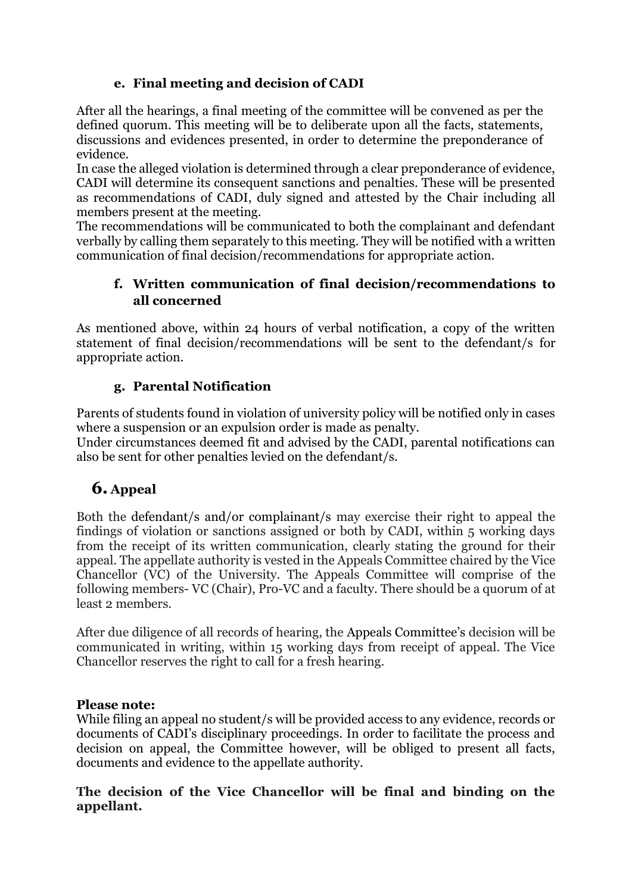### **e. Final meeting and decision of CADI**

After all the hearings, a final meeting of the committee will be convened as per the defined quorum. This meeting will be to deliberate upon all the facts, statements, discussions and evidences presented, in order to determine the preponderance of evidence.

In case the alleged violation is determined through a clear preponderance of evidence, CADI will determine its consequent sanctions and penalties. These will be presented as recommendations of CADI, duly signed and attested by the Chair including all members present at the meeting.

The recommendations will be communicated to both the complainant and defendant verbally by calling them separately to this meeting. They will be notified with a written communication of final decision/recommendations for appropriate action.

### **f. Written communication of final decision/recommendations to all concerned**

As mentioned above, within 24 hours of verbal notification, a copy of the written statement of final decision/recommendations will be sent to the defendant/s for appropriate action.

### **g. Parental Notification**

Parents of students found in violation of university policy will be notified only in cases where a suspension or an expulsion order is made as penalty.

Under circumstances deemed fit and advised by the CADI, parental notifications can also be sent for other penalties levied on the defendant/s.

# **6. Appeal**

Both the defendant/s and/or complainant/s may exercise their right to appeal the findings of violation or sanctions assigned or both by CADI, within 5 working days from the receipt of its written communication, clearly stating the ground for their appeal. The appellate authority is vested in the Appeals Committee chaired by the Vice Chancellor (VC) of the University. The Appeals Committee will comprise of the following members- VC (Chair), Pro-VC and a faculty. There should be a quorum of at least 2 members.

After due diligence of all records of hearing, the Appeals Committee's decision will be communicated in writing, within 15 working days from receipt of appeal. The Vice Chancellor reserves the right to call for a fresh hearing.

#### **Please note:**

While filing an appeal no student/s will be provided access to any evidence, records or documents of CADI's disciplinary proceedings. In order to facilitate the process and decision on appeal, the Committee however, will be obliged to present all facts, documents and evidence to the appellate authority.

#### **The decision of the Vice Chancellor will be final and binding on the appellant.**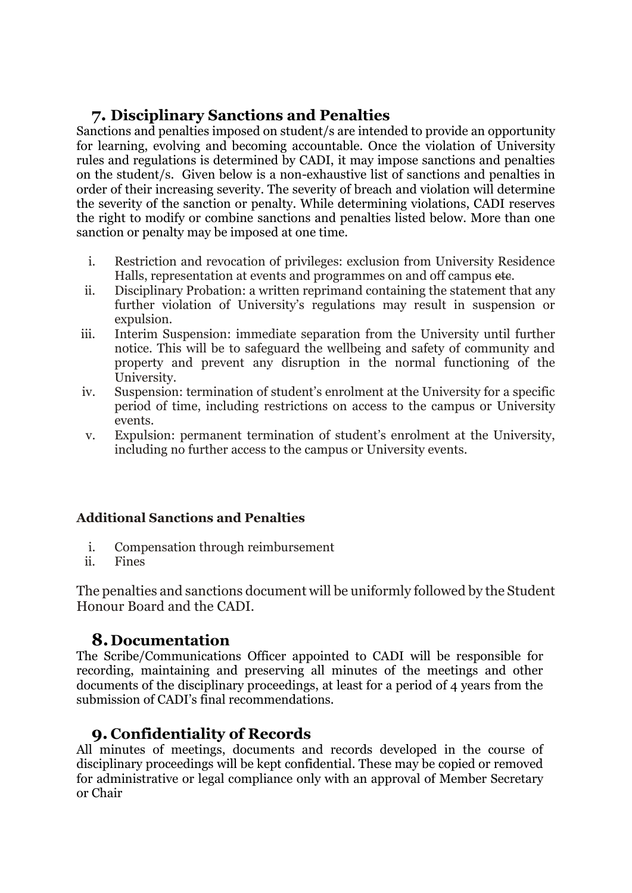## **7. Disciplinary Sanctions and Penalties**

Sanctions and penalties imposed on student/s are intended to provide an opportunity for learning, evolving and becoming accountable. Once the violation of University rules and regulations is determined by CADI, it may impose sanctions and penalties on the student/s. Given below is a non-exhaustive list of sanctions and penalties in order of their increasing severity. The severity of breach and violation will determine the severity of the sanction or penalty. While determining violations, CADI reserves the right to modify or combine sanctions and penalties listed below. More than one sanction or penalty may be imposed at one time.

- i. Restriction and revocation of privileges: exclusion from University Residence Halls, representation at events and programmes on and off campus etc.
- ii. Disciplinary Probation: a written reprimand containing the statement that any further violation of University's regulations may result in suspension or expulsion.
- iii. Interim Suspension: immediate separation from the University until further notice. This will be to safeguard the wellbeing and safety of community and property and prevent any disruption in the normal functioning of the University.
- iv. Suspension: termination of student's enrolment at the University for a specific period of time, including restrictions on access to the campus or University events.
- v. Expulsion: permanent termination of student's enrolment at the University, including no further access to the campus or University events.

### **Additional Sanctions and Penalties**

- i. Compensation through reimbursement
- ii. Fines

The penalties and sanctions document will be uniformly followed by the Student Honour Board and the CADI.

## **8. Documentation**

The Scribe/Communications Officer appointed to CADI will be responsible for recording, maintaining and preserving all minutes of the meetings and other documents of the disciplinary proceedings, at least for a period of 4 years from the submission of CADI's final recommendations.

# **9. Confidentiality of Records**

All minutes of meetings, documents and records developed in the course of disciplinary proceedings will be kept confidential. These may be copied or removed for administrative or legal compliance only with an approval of Member Secretary or Chair